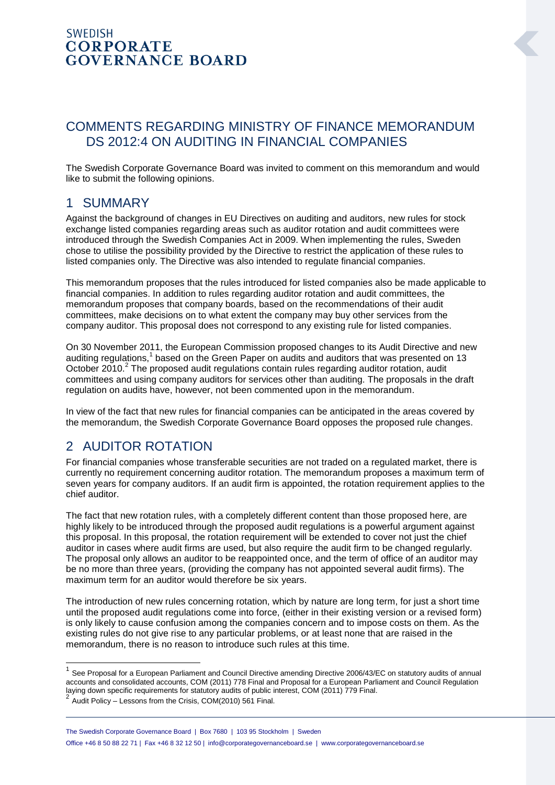#### **SWEDISH CORPORATE GOVERNANCE BOARD**

### COMMENTS REGARDING MINISTRY OF FINANCE MEMORANDUM DS 2012:4 ON AUDITING IN FINANCIAL COMPANIES

The Swedish Corporate Governance Board was invited to comment on this memorandum and would like to submit the following opinions.

#### 1 SUMMARY

Against the background of changes in EU Directives on auditing and auditors, new rules for stock exchange listed companies regarding areas such as auditor rotation and audit committees were introduced through the Swedish Companies Act in 2009. When implementing the rules, Sweden chose to utilise the possibility provided by the Directive to restrict the application of these rules to listed companies only. The Directive was also intended to regulate financial companies.

This memorandum proposes that the rules introduced for listed companies also be made applicable to financial companies. In addition to rules regarding auditor rotation and audit committees, the memorandum proposes that company boards, based on the recommendations of their audit committees, make decisions on to what extent the company may buy other services from the company auditor. This proposal does not correspond to any existing rule for listed companies.

On 30 November 2011, the European Commission proposed changes to its Audit Directive and new auditing regulations,<sup>1</sup> based on the Green Paper on audits and auditors that was presented on 13 October 2010.<sup>2</sup> The proposed audit regulations contain rules regarding auditor rotation, audit committees and using company auditors for services other than auditing. The proposals in the draft regulation on audits have, however, not been commented upon in the memorandum.

In view of the fact that new rules for financial companies can be anticipated in the areas covered by the memorandum, the Swedish Corporate Governance Board opposes the proposed rule changes.

## 2 AUDITOR ROTATION

For financial companies whose transferable securities are not traded on a regulated market, there is currently no requirement concerning auditor rotation. The memorandum proposes a maximum term of seven years for company auditors. If an audit firm is appointed, the rotation requirement applies to the chief auditor.

The fact that new rotation rules, with a completely different content than those proposed here, are highly likely to be introduced through the proposed audit regulations is a powerful argument against this proposal. In this proposal, the rotation requirement will be extended to cover not just the chief auditor in cases where audit firms are used, but also require the audit firm to be changed regularly. The proposal only allows an auditor to be reappointed once, and the term of office of an auditor may be no more than three years, (providing the company has not appointed several audit firms). The maximum term for an auditor would therefore be six years.

The introduction of new rules concerning rotation, which by nature are long term, for just a short time until the proposed audit regulations come into force, (either in their existing version or a revised form) is only likely to cause confusion among the companies concern and to impose costs on them. As the existing rules do not give rise to any particular problems, or at least none that are raised in the memorandum, there is no reason to introduce such rules at this time.

 $2^{2}$  Audit Policy – Lessons from the Crisis, COM(2010) 561 Final.

1

<sup>&</sup>lt;sup>1</sup> See Proposal for a European Parliament and Council Directive amending Directive 2006/43/EC on statutory audits of annual accounts and consolidated accounts, COM (2011) 778 Final and Proposal for a European Parliament and Council Regulation laying down specific requirements for statutory audits of public interest, COM (2011) 779 Final.